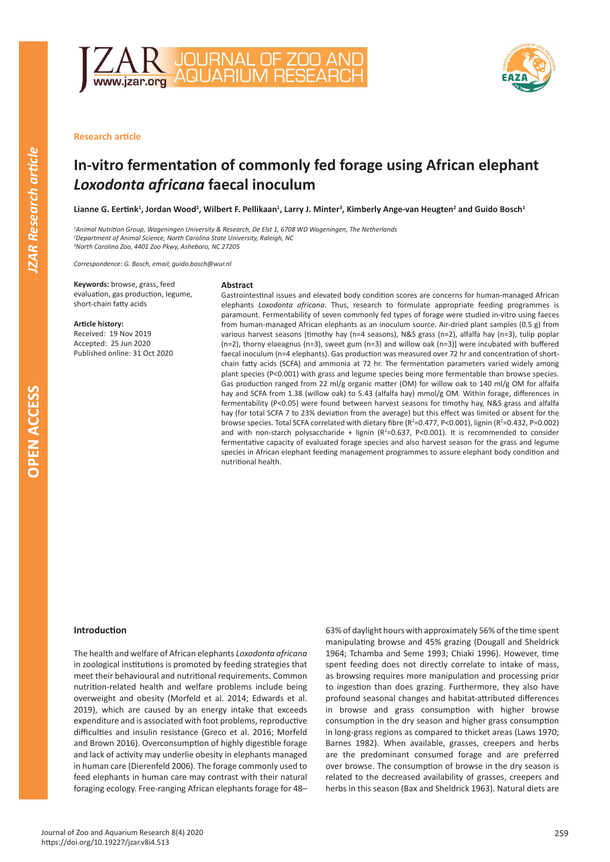



**Research article** 

# **In-vitro fermentation of commonly fed forage using African elephant**  *Loxodonta africana* **faecal inoculum**

**Lianne G. Eertink<sup>1</sup> , Jordan Wood<sup>2</sup> , Wilbert F. Pellikaan<sup>1</sup> , Larry J. Minter<sup>3</sup> , Kimberly Ange-van Heugten<sup>2</sup> and Guido Bosch<sup>1</sup>**

*1 Animal Nutrition Group, Wageningen University & Research, De Elst 1, 6708 WD Wageningen, The Netherlands 2 Department of Animal Science, North Carolina State University, Raleigh, NC 3 North Carolina Zoo, 4401 Zoo Pkwy, Asheboro, NC 27205*

*Correspondence: G. Bosch, email; guido.bosch@wur.nl*

**Keywords:** browse, grass, feed evaluation, gas production, legume, short-chain fatty acids

#### **Article history:**

Received: 19 Nov 2019 Accepted: 25 Jun 2020 Published online: 31 Oct 2020

## **Abstract**

Gastrointestinal issues and elevated body condition scores are concerns for human-managed African elephants *Loxodonta africana*. Thus, research to formulate appropriate feeding programmes is paramount. Fermentability of seven commonly fed types of forage were studied in-vitro using faeces from human-managed African elephants as an inoculum source. Air-dried plant samples (0.5 g) from various harvest seasons [timothy hay (n=4 seasons), N&S grass (n=2), alfalfa hay (n=3), tulip poplar (n=2), thorny elaeagnus (n=3), sweet gum (n=3) and willow oak (n=3)] were incubated with buffered faecal inoculum (n=4 elephants). Gas production was measured over 72 hr and concentration of shortchain fatty acids (SCFA) and ammonia at 72 hr. The fermentation parameters varied widely among plant species (P<0.001) with grass and legume species being more fermentable than browse species. Gas production ranged from 22 ml/g organic matter (OM) for willow oak to 140 ml/g OM for alfalfa hay and SCFA from 1.38 (willow oak) to 5.43 (alfalfa hay) mmol/g OM. Within forage, differences in fermentability (P<0.05) were found between harvest seasons for timothy hay, N&S grass and alfalfa hay (for total SCFA 7 to 23% deviation from the average) but this effect was limited or absent for the browse species. Total SCFA correlated with dietary fibre (R<sup>2</sup>=0.477, P<0.001), lignin (R<sup>2</sup>=0.432, P=0.002) and with non-starch polysaccharide + lignin  $(R^2=0.637, P<0.001)$ . It is recommended to consider fermentative capacity of evaluated forage species and also harvest season for the grass and legume species in African elephant feeding management programmes to assure elephant body condition and nutritional health.

## **Introduction**

The health and welfare of African elephants *Loxodonta africana*  in zoological institutions is promoted by feeding strategies that meet their behavioural and nutritional requirements. Common nutrition-related health and welfare problems include being overweight and obesity (Morfeld et al. 2014; Edwards et al. 2019), which are caused by an energy intake that exceeds expenditure and is associated with foot problems, reproductive difficulties and insulin resistance (Greco et al. 2016; Morfeld and Brown 2016). Overconsumption of highly digestible forage and lack of activity may underlie obesity in elephants managed in human care (Dierenfeld 2006). The forage commonly used to feed elephants in human care may contrast with their natural foraging ecology. Free-ranging African elephants forage for 48– 63% of daylight hours with approximately 56% of the time spent manipulating browse and 45% grazing (Dougall and Sheldrick 1964; Tchamba and Seme 1993; Chiaki 1996). However, time spent feeding does not directly correlate to intake of mass, as browsing requires more manipulation and processing prior to ingestion than does grazing. Furthermore, they also have profound seasonal changes and habitat-attributed differences in browse and grass consumption with higher browse consumption in the dry season and higher grass consumption in long-grass regions as compared to thicket areas (Laws 1970; Barnes 1982). When available, grasses, creepers and herbs are the predominant consumed forage and are preferred over browse. The consumption of browse in the dry season is related to the decreased availability of grasses, creepers and herbs in this season (Bax and Sheldrick 1963). Natural diets are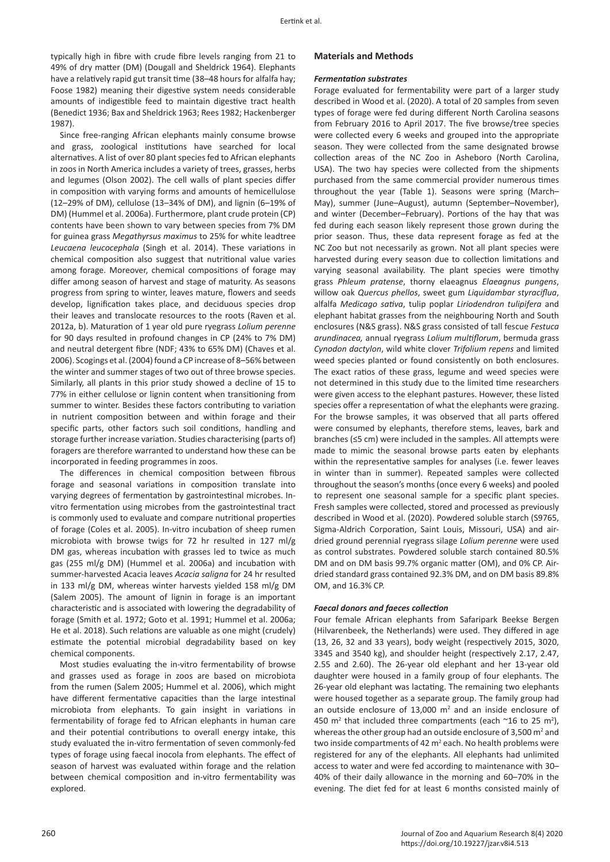typically high in fibre with crude fibre levels ranging from 21 to 49% of dry matter (DM) (Dougall and Sheldrick 1964). Elephants have a relatively rapid gut transit time (38–48 hours for alfalfa hay; Foose 1982) meaning their digestive system needs considerable amounts of indigestible feed to maintain digestive tract health (Benedict 1936; Bax and Sheldrick 1963; Rees 1982; Hackenberger 1987).

Since free-ranging African elephants mainly consume browse and grass, zoological institutions have searched for local alternatives. A list of over 80 plant species fed to African elephants in zoos in North America includes a variety of trees, grasses, herbs and legumes (Olson 2002). The cell walls of plant species differ in composition with varying forms and amounts of hemicellulose (12–29% of DM), cellulose (13–34% of DM), and lignin (6–19% of DM) (Hummel et al. 2006a). Furthermore, plant crude protein (CP) contents have been shown to vary between species from 7% DM for guinea grass *Megathyrsus maximus* to 25% for white leadtree *Leucaena leucocephala* (Singh et al. 2014). These variations in chemical composition also suggest that nutritional value varies among forage. Moreover, chemical compositions of forage may differ among season of harvest and stage of maturity. As seasons progress from spring to winter, leaves mature, flowers and seeds develop, lignification takes place, and deciduous species drop their leaves and translocate resources to the roots (Raven et al. 2012a, b). Maturation of 1 year old pure ryegrass *Lolium perenne* for 90 days resulted in profound changes in CP (24% to 7% DM) and neutral detergent fibre (NDF; 43% to 65% DM) (Chaves et al. 2006). Scogings et al. (2004) found a CP increase of 8–56% between the winter and summer stages of two out of three browse species. Similarly, all plants in this prior study showed a decline of 15 to 77% in either cellulose or lignin content when transitioning from summer to winter. Besides these factors contributing to variation in nutrient composition between and within forage and their specific parts, other factors such soil conditions, handling and storage further increase variation. Studies characterising (parts of) foragers are therefore warranted to understand how these can be incorporated in feeding programmes in zoos.

The differences in chemical composition between fibrous forage and seasonal variations in composition translate into varying degrees of fermentation by gastrointestinal microbes. Invitro fermentation using microbes from the gastrointestinal tract is commonly used to evaluate and compare nutritional properties of forage (Coles et al. 2005). In-vitro incubation of sheep rumen microbiota with browse twigs for 72 hr resulted in 127 ml/g DM gas, whereas incubation with grasses led to twice as much gas (255 ml/g DM) (Hummel et al. 2006a) and incubation with summer-harvested Acacia leaves *Acacia saligna* for 24 hr resulted in 133 ml/g DM, whereas winter harvests yielded 158 ml/g DM (Salem 2005). The amount of lignin in forage is an important characteristic and is associated with lowering the degradability of forage (Smith et al. 1972; Goto et al. 1991; Hummel et al. 2006a; He et al. 2018). Such relations are valuable as one might (crudely) estimate the potential microbial degradability based on key chemical components.

Most studies evaluating the in-vitro fermentability of browse and grasses used as forage in zoos are based on microbiota from the rumen (Salem 2005; Hummel et al. 2006), which might have different fermentative capacities than the large intestinal microbiota from elephants. To gain insight in variations in fermentability of forage fed to African elephants in human care and their potential contributions to overall energy intake, this study evaluated the in-vitro fermentation of seven commonly-fed types of forage using faecal inocola from elephants. The effect of season of harvest was evaluated within forage and the relation between chemical composition and in-vitro fermentability was explored.

# **Materials and Methods**

#### *Fermentation substrates*

Forage evaluated for fermentability were part of a larger study described in Wood et al. (2020). A total of 20 samples from seven types of forage were fed during different North Carolina seasons from February 2016 to April 2017. The five browse/tree species were collected every 6 weeks and grouped into the appropriate season. They were collected from the same designated browse collection areas of the NC Zoo in Asheboro (North Carolina, USA). The two hay species were collected from the shipments purchased from the same commercial provider numerous times throughout the year (Table 1). Seasons were spring (March– May), summer (June–August), autumn (September–November), and winter (December–February). Portions of the hay that was fed during each season likely represent those grown during the prior season. Thus, these data represent forage as fed at the NC Zoo but not necessarily as grown. Not all plant species were harvested during every season due to collection limitations and varying seasonal availability. The plant species were timothy grass *Phleum pratense*, thorny elaeagnus *Elaeagnus pungens*, willow oak *Quercus phellos*, sweet gum *Liquidambar styraciflua*, alfalfa *Medicago sativa*, tulip poplar *Liriodendron tulipifera* and elephant habitat grasses from the neighbouring North and South enclosures (N&S grass). N&S grass consisted of tall fescue *Festuca arundinacea,* annual ryegrass *Lolium multiflorum*, bermuda grass *Cynodon dactylon*, wild white clover *Trifolium repens* and limited weed species planted or found consistently on both enclosures. The exact ratios of these grass, legume and weed species were not determined in this study due to the limited time researchers were given access to the elephant pastures. However, these listed species offer a representation of what the elephants were grazing. For the browse samples, it was observed that all parts offered were consumed by elephants, therefore stems, leaves, bark and branches (≤5 cm) were included in the samples. All attempts were made to mimic the seasonal browse parts eaten by elephants within the representative samples for analyses (i.e. fewer leaves in winter than in summer). Repeated samples were collected throughout the season's months (once every 6 weeks) and pooled to represent one seasonal sample for a specific plant species. Fresh samples were collected, stored and processed as previously described in Wood et al. (2020). Powdered soluble starch (S9765, Sigma-Aldrich Corporation, Saint Louis, Missouri, USA) and airdried ground perennial ryegrass silage *Lolium perenne* were used as control substrates. Powdered soluble starch contained 80.5% DM and on DM basis 99.7% organic matter (OM), and 0% CP. Airdried standard grass contained 92.3% DM, and on DM basis 89.8% OM, and 16.3% CP.

#### *Faecal donors and faeces collection*

Four female African elephants from Safaripark Beekse Bergen (Hilvarenbeek, the Netherlands) were used. They differed in age (13, 26, 32 and 33 years), body weight (respectively 2015, 3020, 3345 and 3540 kg), and shoulder height (respectively 2.17, 2.47, 2.55 and 2.60). The 26-year old elephant and her 13-year old daughter were housed in a family group of four elephants. The 26-year old elephant was lactating. The remaining two elephants were housed together as a separate group. The family group had an outside enclosure of 13,000  $m<sup>2</sup>$  and an inside enclosure of 450 m<sup>2</sup> that included three compartments (each  $\sim$ 16 to 25 m<sup>2</sup>), whereas the other group had an outside enclosure of 3,500  $m<sup>2</sup>$  and two inside compartments of 42  $m^2$  each. No health problems were registered for any of the elephants. All elephants had unlimited access to water and were fed according to maintenance with 30– 40% of their daily allowance in the morning and 60–70% in the evening. The diet fed for at least 6 months consisted mainly of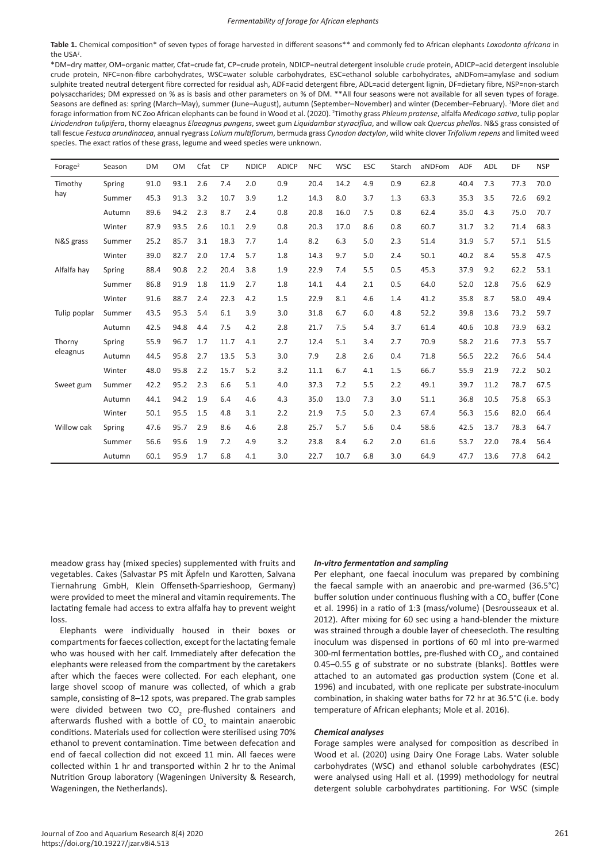**Table 1.** Chemical composition\* of seven types of forage harvested in different seasons\*\* and commonly fed to African elephants *Loxodonta africana* in the USA*<sup>1</sup>* .

\*DM=dry matter, OM=organic matter, Cfat=crude fat, CP=crude protein, NDICP=neutral detergent insoluble crude protein, ADICP=acid detergent insoluble crude protein, NFC=non-fibre carbohydrates, WSC=water soluble carbohydrates, ESC=ethanol soluble carbohydrates, aNDFom=amylase and sodium sulphite treated neutral detergent fibre corrected for residual ash, ADF=acid detergent fibre, ADL=acid detergent lignin, DF=dietary fibre, NSP=non-starch polysaccharides; DM expressed on % as is basis and other parameters on % of DM. \*\*All four seasons were not available for all seven types of forage. Seasons are defined as: spring (March–May), summer (June–August), autumn (September–November) and winter (December–February). 1 More diet and forage information from NC Zoo African elephants can be found in Wood et al. (2020). <sup>2</sup> Timothy grass *Phleum pratense*, alfalfa *Medicago sativa*, tulip poplar *Liriodendron tulipifera*, thorny elaeagnus *Elaeagnus pungens*, sweet gum *Liquidambar styraciflua*, and willow oak *Quercus phellos*. N&S grass consisted of tall fescue *Festuca arundinacea*, annual ryegrass *Lolium multiflorum*, bermuda grass *Cynodon dactylon*, wild white clover *Trifolium repens* and limited weed species. The exact ratios of these grass, legume and weed species were unknown.

| Forage $2$     | Season | <b>DM</b> | <b>OM</b> | Cfat | <b>CP</b> | <b>NDICP</b> | <b>ADICP</b> | <b>NFC</b> | <b>WSC</b> | <b>ESC</b> | Starch | aNDFom | <b>ADF</b> | ADL  | DF   | <b>NSP</b> |
|----------------|--------|-----------|-----------|------|-----------|--------------|--------------|------------|------------|------------|--------|--------|------------|------|------|------------|
| Timothy<br>hay | Spring | 91.0      | 93.1      | 2.6  | 7.4       | 2.0          | 0.9          | 20.4       | 14.2       | 4.9        | 0.9    | 62.8   | 40.4       | 7.3  | 77.3 | 70.0       |
|                | Summer | 45.3      | 91.3      | 3.2  | 10.7      | 3.9          | 1.2          | 14.3       | 8.0        | 3.7        | 1.3    | 63.3   | 35.3       | 3.5  | 72.6 | 69.2       |
|                | Autumn | 89.6      | 94.2      | 2.3  | 8.7       | 2.4          | 0.8          | 20.8       | 16.0       | 7.5        | 0.8    | 62.4   | 35.0       | 4.3  | 75.0 | 70.7       |
|                | Winter | 87.9      | 93.5      | 2.6  | 10.1      | 2.9          | 0.8          | 20.3       | 17.0       | 8.6        | 0.8    | 60.7   | 31.7       | 3.2  | 71.4 | 68.3       |
| N&S grass      | Summer | 25.2      | 85.7      | 3.1  | 18.3      | 7.7          | 1.4          | 8.2        | 6.3        | 5.0        | 2.3    | 51.4   | 31.9       | 5.7  | 57.1 | 51.5       |
|                | Winter | 39.0      | 82.7      | 2.0  | 17.4      | 5.7          | 1.8          | 14.3       | 9.7        | 5.0        | 2.4    | 50.1   | 40.2       | 8.4  | 55.8 | 47.5       |
| Alfalfa hay    | Spring | 88.4      | 90.8      | 2.2  | 20.4      | 3.8          | 1.9          | 22.9       | 7.4        | 5.5        | 0.5    | 45.3   | 37.9       | 9.2  | 62.2 | 53.1       |
|                | Summer | 86.8      | 91.9      | 1.8  | 11.9      | 2.7          | 1.8          | 14.1       | 4.4        | 2.1        | 0.5    | 64.0   | 52.0       | 12.8 | 75.6 | 62.9       |
|                | Winter | 91.6      | 88.7      | 2.4  | 22.3      | 4.2          | 1.5          | 22.9       | 8.1        | 4.6        | 1.4    | 41.2   | 35.8       | 8.7  | 58.0 | 49.4       |
| Tulip poplar   | Summer | 43.5      | 95.3      | 5.4  | 6.1       | 3.9          | 3.0          | 31.8       | 6.7        | 6.0        | 4.8    | 52.2   | 39.8       | 13.6 | 73.2 | 59.7       |
|                | Autumn | 42.5      | 94.8      | 4.4  | 7.5       | 4.2          | 2.8          | 21.7       | 7.5        | 5.4        | 3.7    | 61.4   | 40.6       | 10.8 | 73.9 | 63.2       |
| Thorny         | Spring | 55.9      | 96.7      | 1.7  | 11.7      | 4.1          | 2.7          | 12.4       | 5.1        | 3.4        | 2.7    | 70.9   | 58.2       | 21.6 | 77.3 | 55.7       |
| eleagnus       | Autumn | 44.5      | 95.8      | 2.7  | 13.5      | 5.3          | 3.0          | 7.9        | 2.8        | 2.6        | 0.4    | 71.8   | 56.5       | 22.2 | 76.6 | 54.4       |
|                | Winter | 48.0      | 95.8      | 2.2  | 15.7      | 5.2          | 3.2          | 11.1       | 6.7        | 4.1        | 1.5    | 66.7   | 55.9       | 21.9 | 72.2 | 50.2       |
| Sweet gum      | Summer | 42.2      | 95.2      | 2.3  | 6.6       | 5.1          | 4.0          | 37.3       | 7.2        | 5.5        | 2.2    | 49.1   | 39.7       | 11.2 | 78.7 | 67.5       |
|                | Autumn | 44.1      | 94.2      | 1.9  | 6.4       | 4.6          | 4.3          | 35.0       | 13.0       | 7.3        | 3.0    | 51.1   | 36.8       | 10.5 | 75.8 | 65.3       |
|                | Winter | 50.1      | 95.5      | 1.5  | 4.8       | 3.1          | 2.2          | 21.9       | 7.5        | 5.0        | 2.3    | 67.4   | 56.3       | 15.6 | 82.0 | 66.4       |
| Willow oak     | Spring | 47.6      | 95.7      | 2.9  | 8.6       | 4.6          | 2.8          | 25.7       | 5.7        | 5.6        | 0.4    | 58.6   | 42.5       | 13.7 | 78.3 | 64.7       |
|                | Summer | 56.6      | 95.6      | 1.9  | 7.2       | 4.9          | 3.2          | 23.8       | 8.4        | 6.2        | 2.0    | 61.6   | 53.7       | 22.0 | 78.4 | 56.4       |
|                | Autumn | 60.1      | 95.9      | 1.7  | 6.8       | 4.1          | 3.0          | 22.7       | 10.7       | 6.8        | 3.0    | 64.9   | 47.7       | 13.6 | 77.8 | 64.2       |

meadow grass hay (mixed species) supplemented with fruits and vegetables. Cakes (Salvastar PS mit Äpfeln und Karotten, Salvana Tiernahrung GmbH, Klein Offenseth-Sparrieshoop, Germany) were provided to meet the mineral and vitamin requirements. The lactating female had access to extra alfalfa hay to prevent weight loss.

Elephants were individually housed in their boxes or compartments for faeces collection, except for the lactating female who was housed with her calf. Immediately after defecation the elephants were released from the compartment by the caretakers after which the faeces were collected. For each elephant, one large shovel scoop of manure was collected, of which a grab sample, consisting of 8–12 spots, was prepared. The grab samples were divided between two  $CO_2$  pre-flushed containers and afterwards flushed with a bottle of  $CO_2$  to maintain anaerobic conditions. Materials used for collection were sterilised using 70% ethanol to prevent contamination. Time between defecation and end of faecal collection did not exceed 11 min. All faeces were collected within 1 hr and transported within 2 hr to the Animal Nutrition Group laboratory (Wageningen University & Research, Wageningen, the Netherlands).

#### *In-vitro fermentation and sampling*

Per elephant, one faecal inoculum was prepared by combining the faecal sample with an anaerobic and pre-warmed (36.5°C) buffer solution under continuous flushing with a CO<sub>2</sub> buffer (Cone et al. 1996) in a ratio of 1:3 (mass/volume) (Desrousseaux et al. 2012). After mixing for 60 sec using a hand-blender the mixture was strained through a double layer of cheesecloth. The resulting inoculum was dispensed in portions of 60 ml into pre-warmed 300-ml fermentation bottles, pre-flushed with  $CO_{2'}$  and contained 0.45–0.55 g of substrate or no substrate (blanks). Bottles were attached to an automated gas production system (Cone et al. 1996) and incubated, with one replicate per substrate-inoculum combination, in shaking water baths for 72 hr at 36.5°C (i.e. body temperature of African elephants; Mole et al. 2016).

## *Chemical analyses*

Forage samples were analysed for composition as described in Wood et al. (2020) using Dairy One Forage Labs. Water soluble carbohydrates (WSC) and ethanol soluble carbohydrates (ESC) were analysed using Hall et al. (1999) methodology for neutral detergent soluble carbohydrates partitioning. For WSC (simple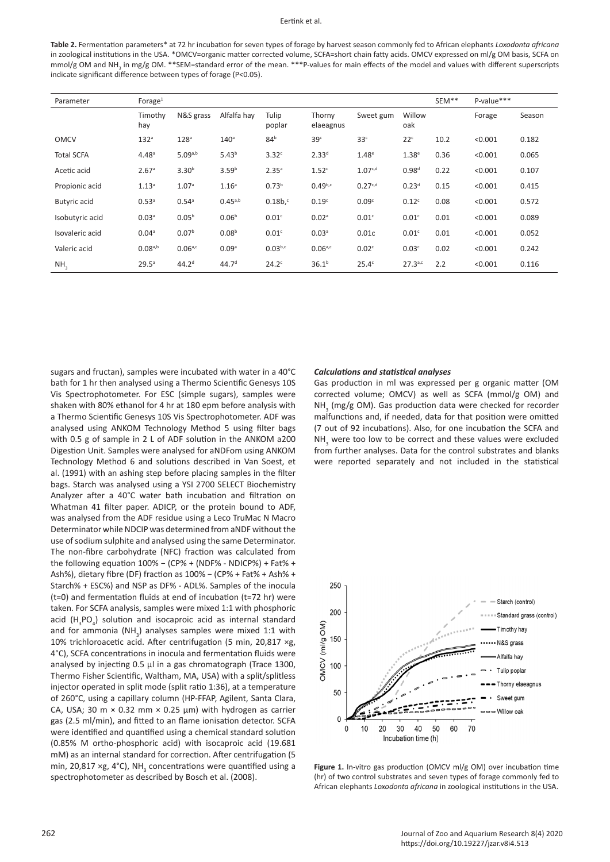#### Eertink et al.

**Table 2.** Fermentation parameters\* at 72 hr incubation for seven types of forage by harvest season commonly fed to African elephants *Loxodonta africana* in zoological institutions in the USA. \*OMCV=organic matter corrected volume, SCFA=short chain fatty acids. OMCV expressed on ml/g OM basis, SCFA on mmol/g OM and NH<sub>3</sub> in mg/g OM. \*\*SEM=standard error of the mean. \*\*\*P-values for main effects of the model and values with different superscripts indicate significant difference between types of forage (P<0.05).

| Parameter           | Forage $1$        |                     |                   |                   |                     |                     |                   |      | P-value*** |        |
|---------------------|-------------------|---------------------|-------------------|-------------------|---------------------|---------------------|-------------------|------|------------|--------|
|                     | Timothy<br>hay    | N&S grass           | Alfalfa hay       | Tulip<br>poplar   | Thorny<br>elaeagnus | Sweet gum           | Willow<br>oak     |      | Forage     | Season |
| <b>OMCV</b>         | 132 <sup>a</sup>  | 128 <sup>a</sup>    | 140 <sup>a</sup>  | 84 <sup>b</sup>   | 39 <sup>c</sup>     | 33 <sup>c</sup>     | 22 <sup>c</sup>   | 10.2 | < 0.001    | 0.182  |
| <b>Total SCFA</b>   | 4.48 <sup>a</sup> | 5.09a,b             | 5.43 <sup>b</sup> | 3.32 <sup>c</sup> | 2.33 <sup>d</sup>   | 1.48 <sup>e</sup>   | 1.38 <sup>e</sup> | 0.36 | < 0.001    | 0.065  |
| Acetic acid         | 2.67a             | 3.30 <sup>b</sup>   | 3.59 <sup>b</sup> | 2.35 <sup>a</sup> | 1.52 <sup>c</sup>   | 1.07 <sub>c,d</sub> | 0.98 <sup>d</sup> | 0.22 | < 0.001    | 0.107  |
| Propionic acid      | 1.13 <sup>a</sup> | 1.07 <sup>a</sup>   | 1.16 <sup>a</sup> | 0.73 <sup>b</sup> | $0.49^{b,c}$        | 0.27c,d             | 0.23 <sup>d</sup> | 0.15 | < 0.001    | 0.415  |
| <b>Butyric</b> acid | 0.53 <sup>a</sup> | $0.54$ <sup>a</sup> | $0.45^{a,b}$      | $0.18b$ , $c$     | 0.19 <sup>c</sup>   | 0.09 <sup>c</sup>   | 0.12 <sup>c</sup> | 0.08 | < 0.001    | 0.572  |
| Isobutyric acid     | 0.03 <sup>a</sup> | 0.05 <sup>b</sup>   | 0.06 <sup>b</sup> | 0.01 <sup>c</sup> | 0.02 <sup>a</sup>   | 0.01 <sup>c</sup>   | 0.01 <sup>c</sup> | 0.01 | < 0.001    | 0.089  |
| Isovaleric acid     | 0.04 <sup>a</sup> | 0.07 <sup>b</sup>   | 0.08 <sup>b</sup> | 0.01 <sup>c</sup> | 0.03 <sup>a</sup>   | 0.01c               | 0.01 <sup>c</sup> | 0.01 | < 0.001    | 0.052  |
| Valeric acid        | $0.08^{a,b}$      | 0.06a,c             | 0.09a             | $0.03^{b,c}$      | $0.06^{a,c}$        | 0.02 <sup>c</sup>   | 0.03 <sup>c</sup> | 0.02 | < 0.001    | 0.242  |
| NH <sub>3</sub>     | 29.5 <sup>a</sup> | 44.2 <sup>d</sup>   | 44.7 <sup>d</sup> | $24.2^\circ$      | 36.1 <sup>b</sup>   | $25.4^\circ$        | 27.3a,c           | 2.2  | < 0.001    | 0.116  |

sugars and fructan), samples were incubated with water in a 40°C bath for 1 hr then analysed using a Thermo Scientific Genesys 10S Vis Spectrophotometer. For ESC (simple sugars), samples were shaken with 80% ethanol for 4 hr at 180 epm before analysis with a Thermo Scientific Genesys 10S Vis Spectrophotometer. ADF was analysed using ANKOM Technology Method 5 using filter bags with 0.5 g of sample in 2 L of ADF solution in the ANKOM a200 Digestion Unit. Samples were analysed for aNDFom using ANKOM Technology Method 6 and solutions described in Van Soest, et al. (1991) with an ashing step before placing samples in the filter bags. Starch was analysed using a YSI 2700 SELECT Biochemistry Analyzer after a 40°C water bath incubation and filtration on Whatman 41 filter paper. ADICP, or the protein bound to ADF, was analysed from the ADF residue using a Leco TruMac N Macro Determinator while NDCIP was determined from aNDF without the use of sodium sulphite and analysed using the same Determinator. The non-fibre carbohydrate (NFC) fraction was calculated from the following equation 100% − (CP% + (NDF% - NDICP%) + Fat% + Ash%), dietary fibre (DF) fraction as 100% − (CP% + Fat% + Ash% + Starch% + ESC%) and NSP as DF% - ADL%. Samples of the inocula (t=0) and fermentation fluids at end of incubation (t=72 hr) were taken. For SCFA analysis, samples were mixed 1:1 with phosphoric acid  $(H_3PO_4)$  solution and isocaproic acid as internal standard and for ammonia  $(NH_3)$  analyses samples were mixed 1:1 with 10% trichloroacetic acid. After centrifugation (5 min, 20,817 ×g, 4°C), SCFA concentrations in inocula and fermentation fluids were analysed by injecting 0.5 μl in a gas chromatograph (Trace 1300, Thermo Fisher Scientific, Waltham, MA, USA) with a split/splitless injector operated in split mode (split ratio 1:36), at a temperature of 260°C, using a capillary column (HP-FFAP, Agilent, Santa Clara, CA, USA; 30 m  $\times$  0.32 mm  $\times$  0.25 µm) with hydrogen as carrier gas (2.5 ml/min), and fitted to an flame ionisation detector. SCFA were identified and quantified using a chemical standard solution (0.85% M ortho-phosphoric acid) with isocaproic acid (19.681 mM) as an internal standard for correction. After centrifugation (5 min, 20,817 ×g, 4°C), NH<sub>3</sub> concentrations were quantified using a spectrophotometer as described by Bosch et al. (2008).

#### *Calculations and statistical analyses*

Gas production in ml was expressed per g organic matter (OM corrected volume; OMCV) as well as SCFA (mmol/g OM) and  $NH<sub>3</sub>$  (mg/g OM). Gas production data were checked for recorder malfunctions and, if needed, data for that position were omitted (7 out of 92 incubations). Also, for one incubation the SCFA and  $NH<sub>3</sub>$  were too low to be correct and these values were excluded from further analyses. Data for the control substrates and blanks were reported separately and not included in the statistical



Figure 1. In-vitro gas production (OMCV ml/g OM) over incubation time (hr) of two control substrates and seven types of forage commonly fed to African elephants *Loxodonta africana* in zoological institutions in the USA.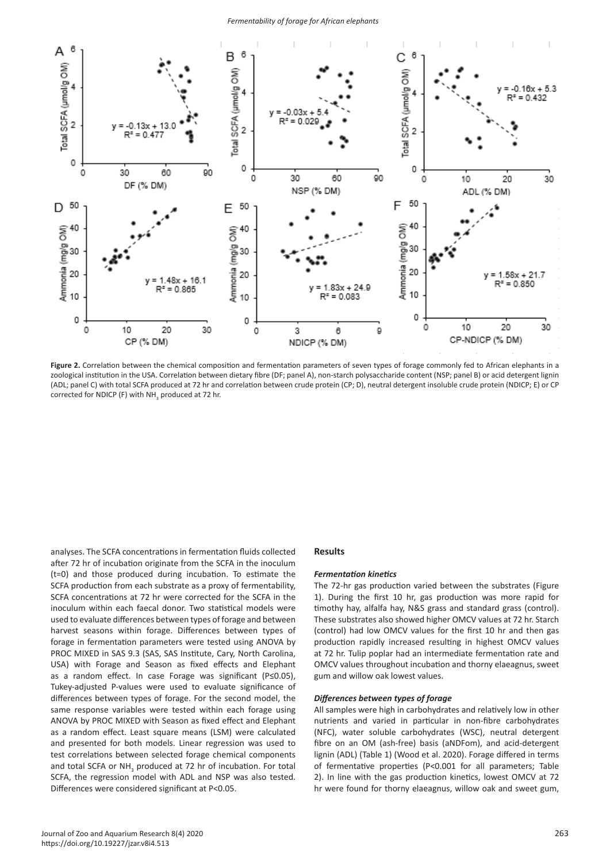

Figure 2. Correlation between the chemical composition and fermentation parameters of seven types of forage commonly fed to African elephants in a zoological institution in the USA. Correlation between dietary fibre (DF; panel A), non-starch polysaccharide content (NSP; panel B) or acid detergent lignin (ADL; panel C) with total SCFA produced at 72 hr and correlation between crude protein (CP; D), neutral detergent insoluble crude protein (NDICP; E) or CP corrected for NDICP (F) with  $NH<sub>3</sub>$  produced at 72 hr.

analyses. The SCFA concentrations in fermentation fluids collected after 72 hr of incubation originate from the SCFA in the inoculum (t=0) and those produced during incubation. To estimate the SCFA production from each substrate as a proxy of fermentability, SCFA concentrations at 72 hr were corrected for the SCFA in the inoculum within each faecal donor. Two statistical models were used to evaluate differences between types of forage and between harvest seasons within forage. Differences between types of forage in fermentation parameters were tested using ANOVA by PROC MIXED in SAS 9.3 (SAS, SAS Institute, Cary, North Carolina, USA) with Forage and Season as fixed effects and Elephant as a random effect. In case Forage was significant (P≤0.05), Tukey-adjusted P-values were used to evaluate significance of differences between types of forage. For the second model, the same response variables were tested within each forage using ANOVA by PROC MIXED with Season as fixed effect and Elephant as a random effect. Least square means (LSM) were calculated and presented for both models. Linear regression was used to test correlations between selected forage chemical components and total SCFA or  $NH<sub>3</sub>$  produced at 72 hr of incubation. For total SCFA, the regression model with ADL and NSP was also tested. Differences were considered significant at P<0.05.

# **Results**

### *Fermentation kinetics*

The 72-hr gas production varied between the substrates (Figure 1). During the first 10 hr, gas production was more rapid for timothy hay, alfalfa hay, N&S grass and standard grass (control). These substrates also showed higher OMCV values at 72 hr. Starch (control) had low OMCV values for the first 10 hr and then gas production rapidly increased resulting in highest OMCV values at 72 hr. Tulip poplar had an intermediate fermentation rate and OMCV values throughout incubation and thorny elaeagnus, sweet gum and willow oak lowest values.

# *Differences between types of forage*

All samples were high in carbohydrates and relatively low in other nutrients and varied in particular in non-fibre carbohydrates (NFC), water soluble carbohydrates (WSC), neutral detergent fibre on an OM (ash-free) basis (aNDFom), and acid-detergent lignin (ADL) (Table 1) (Wood et al. 2020). Forage differed in terms of fermentative properties (P<0.001 for all parameters; Table 2). In line with the gas production kinetics, lowest OMCV at 72 hr were found for thorny elaeagnus, willow oak and sweet gum,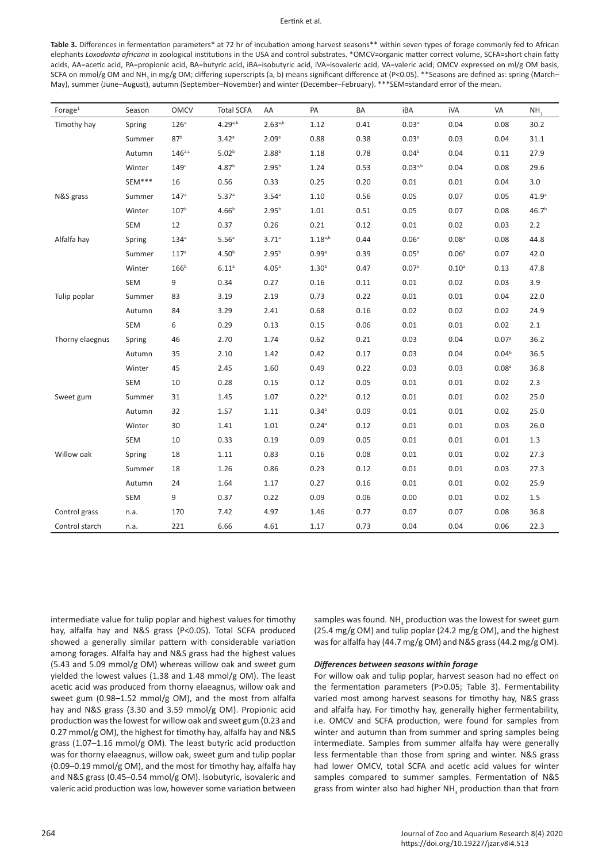#### Eertink et al.

Table 3. Differences in fermentation parameters\* at 72 hr of incubation among harvest seasons\*\* within seven types of forage commonly fed to African elephants *Loxodonta africana* in zoological institutions in the USA and control substrates. \*OMCV=organic matter correct volume, SCFA=short chain fatty acids, AA=acetic acid, PA=propionic acid, BA=butyric acid, iBA=isobutyric acid, iVA=isovaleric acid, VA=valeric acid; OMCV expressed on ml/g OM basis, SCFA on mmol/g OM and NH<sub>3</sub> in mg/g OM; differing superscripts (a, b) means significant difference at (P<0.05). \*\*Seasons are defined as: spring (March– May), summer (June–August), autumn (September–November) and winter (December–February). \*\*\*SEM=standard error of the mean.

| Forage $1$      | Season     | <b>OMCV</b>      | <b>Total SCFA</b> | AA                | PA                  | BA   | iBA               | iVA               | VA                | NH <sub>3</sub>   |
|-----------------|------------|------------------|-------------------|-------------------|---------------------|------|-------------------|-------------------|-------------------|-------------------|
| Timothy hay     | Spring     | 126 <sup>a</sup> | $4.29^{a,b}$      | $2.63^{a,b}$      | 1.12                | 0.41 | 0.03 <sup>a</sup> | 0.04              | 0.08              | 30.2              |
|                 | Summer     | 87 <sup>b</sup>  | 3.42 <sup>a</sup> | 2.09 <sup>a</sup> | 0.88                | 0.38 | 0.03 <sup>a</sup> | 0.03              | 0.04              | 31.1              |
|                 | Autumn     | $146a$ ,c        | 5.02 <sup>b</sup> | $2.88^{b}$        | 1.18                | 0.78 | 0.04 <sup>b</sup> | 0.04              | 0.11              | 27.9              |
|                 | Winter     | 149°             | 4.87 <sup>b</sup> | $2.95^{b}$        | 1.24                | 0.53 | $0.03^{a,b}$      | 0.04              | 0.08              | 29.6              |
|                 | SEM***     | 16               | 0.56              | 0.33              | 0.25                | 0.20 | 0.01              | 0.01              | 0.04              | 3.0               |
| N&S grass       | Summer     | 147 <sup>a</sup> | 5.37 <sup>a</sup> | 3.54 <sup>a</sup> | 1.10                | 0.56 | 0.05              | 0.07              | 0.05              | 41.9 <sup>a</sup> |
|                 | Winter     | 107 <sup>b</sup> | 4.66 <sup>b</sup> | $2.95^{b}$        | 1.01                | 0.51 | 0.05              | 0.07              | 0.08              | 46.7 <sup>b</sup> |
|                 | SEM        | 12               | 0.37              | 0.26              | 0.21                | 0.12 | 0.01              | 0.02              | 0.03              | 2.2               |
| Alfalfa hay     | Spring     | 134 <sup>a</sup> | 5.56 <sup>a</sup> | 3.71a             | $1.18^{a,b}$        | 0.44 | 0.06 <sup>a</sup> | 0.08 <sup>a</sup> | 0.08              | 44.8              |
|                 | Summer     | 117 <sup>a</sup> | 4.50 <sup>b</sup> | $2.95^{b}$        | 0.99a               | 0.39 | 0.05 <sup>b</sup> | 0.06 <sup>b</sup> | 0.07              | 42.0              |
|                 | Winter     | 166 <sup>b</sup> | $6.11^{a}$        | 4.05 <sup>a</sup> | 1.30 <sup>b</sup>   | 0.47 | 0.07 <sup>a</sup> | $0.10^{a}$        | 0.13              | 47.8              |
|                 | SEM        | 9                | 0.34              | 0.27              | 0.16                | 0.11 | 0.01              | 0.02              | 0.03              | 3.9               |
| Tulip poplar    | Summer     | 83               | 3.19              | 2.19              | 0.73                | 0.22 | 0.01              | 0.01              | 0.04              | 22.0              |
|                 | Autumn     | 84               | 3.29              | 2.41              | 0.68                | 0.16 | 0.02              | 0.02              | 0.02              | 24.9              |
|                 | SEM        | 6                | 0.29              | 0.13              | 0.15                | 0.06 | 0.01              | 0.01              | 0.02              | 2.1               |
| Thorny elaegnus | Spring     | 46               | 2.70              | 1.74              | 0.62                | 0.21 | 0.03              | 0.04              | 0.07 <sup>a</sup> | 36.2              |
|                 | Autumn     | 35               | 2.10              | 1.42              | 0.42                | 0.17 | 0.03              | 0.04              | 0.04 <sup>b</sup> | 36.5              |
|                 | Winter     | 45               | 2.45              | 1.60              | 0.49                | 0.22 | 0.03              | 0.03              | 0.08 <sup>a</sup> | 36.8              |
|                 | <b>SEM</b> | 10               | 0.28              | 0.15              | 0.12                | 0.05 | 0.01              | 0.01              | 0.02              | 2.3               |
| Sweet gum       | Summer     | 31               | 1.45              | 1.07              | $0.22^{a}$          | 0.12 | 0.01              | 0.01              | 0.02              | 25.0              |
|                 | Autumn     | 32               | 1.57              | 1.11              | 0.34 <sup>b</sup>   | 0.09 | 0.01              | 0.01              | 0.02              | 25.0              |
|                 | Winter     | 30               | 1.41              | 1.01              | $0.24$ <sup>a</sup> | 0.12 | 0.01              | 0.01              | 0.03              | 26.0              |
|                 | SEM        | 10               | 0.33              | 0.19              | 0.09                | 0.05 | 0.01              | 0.01              | 0.01              | 1.3               |
| Willow oak      | Spring     | 18               | 1.11              | 0.83              | 0.16                | 0.08 | 0.01              | 0.01              | 0.02              | 27.3              |
|                 | Summer     | 18               | 1.26              | 0.86              | 0.23                | 0.12 | 0.01              | 0.01              | 0.03              | 27.3              |
|                 | Autumn     | 24               | 1.64              | 1.17              | 0.27                | 0.16 | 0.01              | 0.01              | 0.02              | 25.9              |
|                 | <b>SEM</b> | 9                | 0.37              | 0.22              | 0.09                | 0.06 | 0.00              | 0.01              | 0.02              | $1.5\,$           |
| Control grass   | n.a.       | 170              | 7.42              | 4.97              | 1.46                | 0.77 | 0.07              | 0.07              | 0.08              | 36.8              |
| Control starch  | n.a.       | 221              | 6.66              | 4.61              | 1.17                | 0.73 | 0.04              | 0.04              | 0.06              | 22.3              |

intermediate value for tulip poplar and highest values for timothy hay, alfalfa hay and N&S grass (P<0.05). Total SCFA produced showed a generally similar pattern with considerable variation among forages. Alfalfa hay and N&S grass had the highest values (5.43 and 5.09 mmol/g OM) whereas willow oak and sweet gum yielded the lowest values (1.38 and 1.48 mmol/g OM). The least acetic acid was produced from thorny elaeagnus, willow oak and sweet gum (0.98–1.52 mmol/g OM), and the most from alfalfa hay and N&S grass (3.30 and 3.59 mmol/g OM). Propionic acid production was the lowest for willow oak and sweet gum (0.23 and 0.27 mmol/g OM), the highest for timothy hay, alfalfa hay and N&S grass (1.07–1.16 mmol/g OM). The least butyric acid production was for thorny elaeagnus, willow oak, sweet gum and tulip poplar (0.09–0.19 mmol/g OM), and the most for timothy hay, alfalfa hay and N&S grass (0.45–0.54 mmol/g OM). Isobutyric, isovaleric and valeric acid production was low, however some variation between

samples was found. NH<sub>3</sub> production was the lowest for sweet gum (25.4 mg/g OM) and tulip poplar (24.2 mg/g OM), and the highest was for alfalfa hay (44.7 mg/g OM) and N&S grass (44.2 mg/g OM).

# *Differences between seasons within forage*

For willow oak and tulip poplar, harvest season had no effect on the fermentation parameters (P>0.05; Table 3). Fermentability varied most among harvest seasons for timothy hay, N&S grass and alfalfa hay. For timothy hay, generally higher fermentability, i.e. OMCV and SCFA production, were found for samples from winter and autumn than from summer and spring samples being intermediate. Samples from summer alfalfa hay were generally less fermentable than those from spring and winter. N&S grass had lower OMCV, total SCFA and acetic acid values for winter samples compared to summer samples. Fermentation of N&S grass from winter also had higher NH<sub>3</sub> production than that from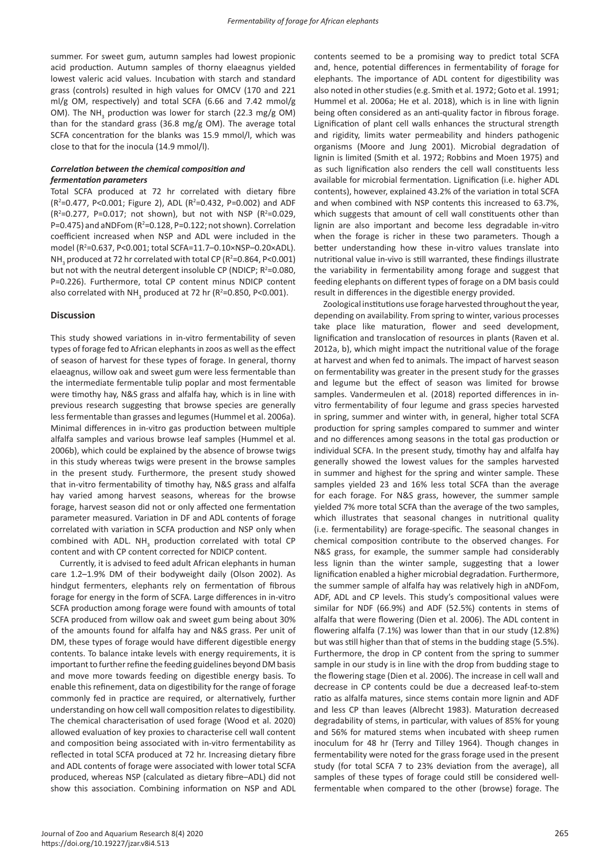summer. For sweet gum, autumn samples had lowest propionic acid production. Autumn samples of thorny elaeagnus yielded lowest valeric acid values. Incubation with starch and standard grass (controls) resulted in high values for OMCV (170 and 221 ml/g OM, respectively) and total SCFA (6.66 and 7.42 mmol/g OM). The NH<sub>3</sub> production was lower for starch (22.3 mg/g OM) than for the standard grass (36.8 mg/g OM). The average total SCFA concentration for the blanks was 15.9 mmol/l, which was close to that for the inocula (14.9 mmol/l).

# *Correlation between the chemical composition and fermentation parameters*

Total SCFA produced at 72 hr correlated with dietary fibre (R<sup>2</sup>=0.477, P<0.001; Figure 2), ADL (R<sup>2</sup>=0.432, P=0.002) and ADF  $(R^2=0.277, P=0.017; not shown)$ , but not with NSP ( $R^2=0.029$ , P=0.475) and aNDFom ( $R^2$ =0.128, P=0.122; not shown). Correlation coefficient increased when NSP and ADL were included in the model (R<sup>2</sup> =0.637, P<0.001; total SCFA=11.7–0.10×NSP–0.20×ADL). NH<sub>3</sub> produced at 72 hr correlated with total CP (R<sup>2</sup>=0.864, P<0.001) but not with the neutral detergent insoluble CP (NDICP;  $R^2 = 0.080$ , P=0.226). Furthermore, total CP content minus NDICP content also correlated with NH<sub>3</sub> produced at 72 hr (R<sup>2</sup>=0.850, P<0.001).

## **Discussion**

This study showed variations in in-vitro fermentability of seven types of forage fed to African elephants in zoos as well as the effect of season of harvest for these types of forage. In general, thorny elaeagnus, willow oak and sweet gum were less fermentable than the intermediate fermentable tulip poplar and most fermentable were timothy hay, N&S grass and alfalfa hay, which is in line with previous research suggesting that browse species are generally less fermentable than grasses and legumes (Hummel et al. 2006a). Minimal differences in in-vitro gas production between multiple alfalfa samples and various browse leaf samples (Hummel et al. 2006b), which could be explained by the absence of browse twigs in this study whereas twigs were present in the browse samples in the present study. Furthermore, the present study showed that in-vitro fermentability of timothy hay, N&S grass and alfalfa hay varied among harvest seasons, whereas for the browse forage, harvest season did not or only affected one fermentation parameter measured. Variation in DF and ADL contents of forage correlated with variation in SCFA production and NSP only when combined with ADL.  $NH<sub>3</sub>$  production correlated with total CP content and with CP content corrected for NDICP content.

Currently, it is advised to feed adult African elephants in human care 1.2–1.9% DM of their bodyweight daily (Olson 2002). As hindgut fermenters, elephants rely on fermentation of fibrous forage for energy in the form of SCFA. Large differences in in-vitro SCFA production among forage were found with amounts of total SCFA produced from willow oak and sweet gum being about 30% of the amounts found for alfalfa hay and N&S grass. Per unit of DM, these types of forage would have different digestible energy contents. To balance intake levels with energy requirements, it is important to further refine the feeding guidelines beyond DM basis and move more towards feeding on digestible energy basis. To enable this refinement, data on digestibility for the range of forage commonly fed in practice are required, or alternatively, further understanding on how cell wall composition relates to digestibility. The chemical characterisation of used forage (Wood et al. 2020) allowed evaluation of key proxies to characterise cell wall content and composition being associated with in-vitro fermentability as reflected in total SCFA produced at 72 hr. Increasing dietary fibre and ADL contents of forage were associated with lower total SCFA produced, whereas NSP (calculated as dietary fibre–ADL) did not show this association. Combining information on NSP and ADL contents seemed to be a promising way to predict total SCFA and, hence, potential differences in fermentability of forage for elephants. The importance of ADL content for digestibility was also noted in other studies (e.g. Smith et al. 1972; Goto et al. 1991; Hummel et al. 2006a; He et al. 2018), which is in line with lignin being often considered as an anti-quality factor in fibrous forage. Lignification of plant cell walls enhances the structural strength and rigidity, limits water permeability and hinders pathogenic organisms (Moore and Jung 2001). Microbial degradation of lignin is limited (Smith et al. 1972; Robbins and Moen 1975) and as such lignification also renders the cell wall constituents less available for microbial fermentation. Lignification (i.e. higher ADL contents), however, explained 43.2% of the variation in total SCFA and when combined with NSP contents this increased to 63.7%, which suggests that amount of cell wall constituents other than lignin are also important and become less degradable in-vitro when the forage is richer in these two parameters. Though a better understanding how these in-vitro values translate into nutritional value in-vivo is still warranted, these findings illustrate the variability in fermentability among forage and suggest that feeding elephants on different types of forage on a DM basis could result in differences in the digestible energy provided.

Zoological institutions use forage harvested throughout the year, depending on availability. From spring to winter, various processes take place like maturation, flower and seed development, lignification and translocation of resources in plants (Raven et al. 2012a, b), which might impact the nutritional value of the forage at harvest and when fed to animals. The impact of harvest season on fermentability was greater in the present study for the grasses and legume but the effect of season was limited for browse samples. Vandermeulen et al. (2018) reported differences in invitro fermentability of four legume and grass species harvested in spring, summer and winter with, in general, higher total SCFA production for spring samples compared to summer and winter and no differences among seasons in the total gas production or individual SCFA. In the present study, timothy hay and alfalfa hay generally showed the lowest values for the samples harvested in summer and highest for the spring and winter sample. These samples yielded 23 and 16% less total SCFA than the average for each forage. For N&S grass, however, the summer sample yielded 7% more total SCFA than the average of the two samples, which illustrates that seasonal changes in nutritional quality (i.e. fermentability) are forage-specific. The seasonal changes in chemical composition contribute to the observed changes. For N&S grass, for example, the summer sample had considerably less lignin than the winter sample, suggesting that a lower lignification enabled a higher microbial degradation. Furthermore, the summer sample of alfalfa hay was relatively high in aNDFom, ADF, ADL and CP levels. This study's compositional values were similar for NDF (66.9%) and ADF (52.5%) contents in stems of alfalfa that were flowering (Dien et al. 2006). The ADL content in flowering alfalfa (7.1%) was lower than that in our study (12.8%) but was still higher than that of stems in the budding stage (5.5%). Furthermore, the drop in CP content from the spring to summer sample in our study is in line with the drop from budding stage to the flowering stage (Dien et al. 2006). The increase in cell wall and decrease in CP contents could be due a decreased leaf-to-stem ratio as alfalfa matures, since stems contain more lignin and ADF and less CP than leaves (Albrecht 1983). Maturation decreased degradability of stems, in particular, with values of 85% for young and 56% for matured stems when incubated with sheep rumen inoculum for 48 hr (Terry and Tilley 1964). Though changes in fermentability were noted for the grass forage used in the present study (for total SCFA 7 to 23% deviation from the average), all samples of these types of forage could still be considered wellfermentable when compared to the other (browse) forage. The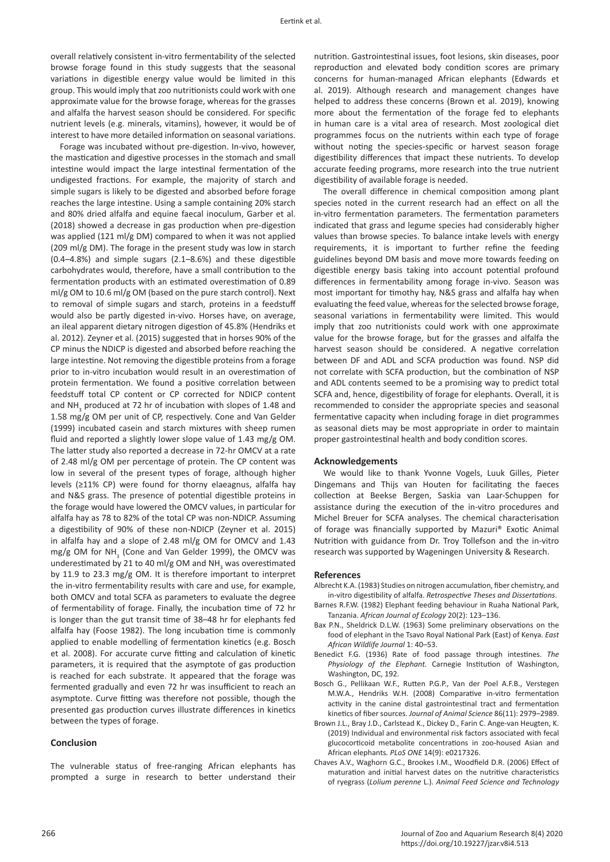overall relatively consistent in-vitro fermentability of the selected browse forage found in this study suggests that the seasonal variations in digestible energy value would be limited in this group. This would imply that zoo nutritionists could work with one approximate value for the browse forage, whereas for the grasses and alfalfa the harvest season should be considered. For specific nutrient levels (e.g. minerals, vitamins), however, it would be of interest to have more detailed information on seasonal variations.

Forage was incubated without pre-digestion. In-vivo, however, the mastication and digestive processes in the stomach and small intestine would impact the large intestinal fermentation of the undigested fractions. For example, the majority of starch and simple sugars is likely to be digested and absorbed before forage reaches the large intestine. Using a sample containing 20% starch and 80% dried alfalfa and equine faecal inoculum, Garber et al. (2018) showed a decrease in gas production when pre-digestion was applied (121 ml/g DM) compared to when it was not applied (209 ml/g DM). The forage in the present study was low in starch (0.4–4.8%) and simple sugars (2.1–8.6%) and these digestible carbohydrates would, therefore, have a small contribution to the fermentation products with an estimated overestimation of 0.89 ml/g OM to 10.6 ml/g OM (based on the pure starch control). Next to removal of simple sugars and starch, proteins in a feedstuff would also be partly digested in-vivo. Horses have, on average, an ileal apparent dietary nitrogen digestion of 45.8% (Hendriks et al. 2012). Zeyner et al. (2015) suggested that in horses 90% of the CP minus the NDICP is digested and absorbed before reaching the large intestine. Not removing the digestible proteins from a forage prior to in-vitro incubation would result in an overestimation of protein fermentation. We found a positive correlation between feedstuff total CP content or CP corrected for NDICP content and NH<sub>3</sub> produced at 72 hr of incubation with slopes of 1.48 and 1.58 mg/g OM per unit of CP, respectively. Cone and Van Gelder (1999) incubated casein and starch mixtures with sheep rumen fluid and reported a slightly lower slope value of 1.43 mg/g OM. The latter study also reported a decrease in 72-hr OMCV at a rate of 2.48 ml/g OM per percentage of protein. The CP content was low in several of the present types of forage, although higher levels (≥11% CP) were found for thorny elaeagnus, alfalfa hay and N&S grass. The presence of potential digestible proteins in the forage would have lowered the OMCV values, in particular for alfalfa hay as 78 to 82% of the total CP was non-NDICP. Assuming a digestibility of 90% of these non-NDICP (Zeyner et al. 2015) in alfalfa hay and a slope of 2.48 ml/g OM for OMCV and 1.43  $mg/g$  OM for NH<sub>3</sub> (Cone and Van Gelder 1999), the OMCV was underestimated by 21 to 40 ml/g OM and NH<sub>3</sub> was overestimated by 11.9 to 23.3 mg/g OM. It is therefore important to interpret the in-vitro fermentability results with care and use, for example, both OMCV and total SCFA as parameters to evaluate the degree of fermentability of forage. Finally, the incubation time of 72 hr is longer than the gut transit time of 38–48 hr for elephants fed alfalfa hay (Foose 1982). The long incubation time is commonly applied to enable modelling of fermentation kinetics (e.g. Bosch et al. 2008). For accurate curve fitting and calculation of kinetic parameters, it is required that the asymptote of gas production is reached for each substrate. It appeared that the forage was fermented gradually and even 72 hr was insufficient to reach an asymptote. Curve fitting was therefore not possible, though the presented gas production curves illustrate differences in kinetics between the types of forage.

# **Conclusion**

The vulnerable status of free-ranging African elephants has prompted a surge in research to better understand their nutrition. Gastrointestinal issues, foot lesions, skin diseases, poor reproduction and elevated body condition scores are primary concerns for human-managed African elephants (Edwards et al. 2019). Although research and management changes have helped to address these concerns (Brown et al. 2019), knowing more about the fermentation of the forage fed to elephants in human care is a vital area of research. Most zoological diet programmes focus on the nutrients within each type of forage without noting the species-specific or harvest season forage digestibility differences that impact these nutrients. To develop accurate feeding programs, more research into the true nutrient digestibility of available forage is needed.

The overall difference in chemical composition among plant species noted in the current research had an effect on all the in-vitro fermentation parameters. The fermentation parameters indicated that grass and legume species had considerably higher values than browse species. To balance intake levels with energy requirements, it is important to further refine the feeding guidelines beyond DM basis and move more towards feeding on digestible energy basis taking into account potential profound differences in fermentability among forage in-vivo. Season was most important for timothy hay, N&S grass and alfalfa hay when evaluating the feed value, whereas for the selected browse forage, seasonal variations in fermentability were limited. This would imply that zoo nutritionists could work with one approximate value for the browse forage, but for the grasses and alfalfa the harvest season should be considered. A negative correlation between DF and ADL and SCFA production was found. NSP did not correlate with SCFA production, but the combination of NSP and ADL contents seemed to be a promising way to predict total SCFA and, hence, digestibility of forage for elephants. Overall, it is recommended to consider the appropriate species and seasonal fermentative capacity when including forage in diet programmes as seasonal diets may be most appropriate in order to maintain proper gastrointestinal health and body condition scores.

### **Acknowledgements**

We would like to thank Yvonne Vogels, Luuk Gilles, Pieter Dingemans and Thijs van Houten for facilitating the faeces collection at Beekse Bergen, Saskia van Laar-Schuppen for assistance during the execution of the in-vitro procedures and Michel Breuer for SCFA analyses. The chemical characterisation of forage was financially supported by Mazuri® Exotic Animal Nutrition with guidance from Dr. Troy Tollefson and the in-vitro research was supported by Wageningen University & Research.

#### **References**

- Albrecht K.A. (1983) Studies on nitrogen accumulation, fiber chemistry, and in-vitro digestibility of alfalfa. *Retrospective Theses and Dissertations*.
- Barnes R.F.W. (1982) Elephant feeding behaviour in Ruaha National Park, Tanzania. *African Journal of Ecology* 20(2): 123–136.
- Bax P.N., Sheldrick D.L.W. (1963) Some preliminary observations on the food of elephant in the Tsavo Royal National Park (East) of Kenya. *East African Wildlife Journal* 1: 40–53.
- Benedict F.G. (1936) Rate of food passage through intestines. *The Physiology of the Elephant.* Carnegie Institution of Washington, Washington, DC, 192.
- Bosch G., Pellikaan W.F., Rutten P.G.P., Van der Poel A.F.B., Verstegen M.W.A., Hendriks W.H. (2008) Comparative in-vitro fermentation activity in the canine distal gastrointestinal tract and fermentation kinetics of fiber sources. *Journal of Animal Science* 86(11): 2979–2989.
- Brown J.L., Bray J.D., Carlstead K., Dickey D., Farin C. Ange-van Heugten, K. (2019) Individual and environmental risk factors associated with fecal glucocorticoid metabolite concentrations in zoo-housed Asian and African elephants*. PLoS ONE* 14(9): e0217326.
- Chaves A.V., Waghorn G.C., Brookes I.M., Woodfield D.R. (2006) Effect of maturation and initial harvest dates on the nutritive characteristics of ryegrass (*Lolium perenne* L.). *Animal Feed Science and Technology*